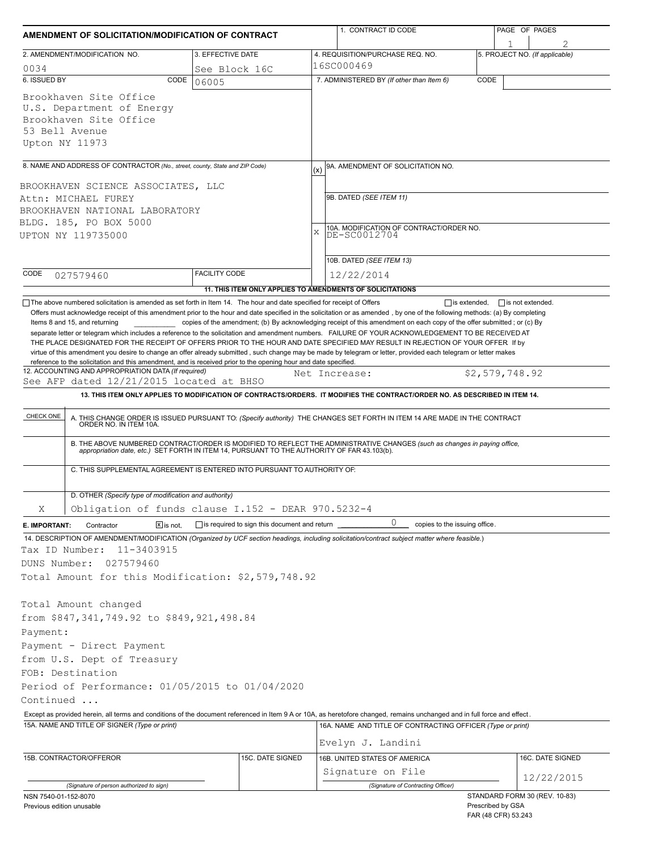| AMENDMENT OF SOLICITATION/MODIFICATION OF CONTRACT                                                                                                                                                                 |                      |                                                     |     | 1. CONTRACT ID CODE                                                                                                                                                                                                                                                                                             | PAGE OF PAGES |                                             |  |
|--------------------------------------------------------------------------------------------------------------------------------------------------------------------------------------------------------------------|----------------------|-----------------------------------------------------|-----|-----------------------------------------------------------------------------------------------------------------------------------------------------------------------------------------------------------------------------------------------------------------------------------------------------------------|---------------|---------------------------------------------|--|
| 2. AMENDMENT/MODIFICATION NO.                                                                                                                                                                                      |                      | 3. EFFECTIVE DATE                                   |     | 4. REQUISITION/PURCHASE REQ. NO.                                                                                                                                                                                                                                                                                |               | 5. PROJECT NO. (If applicable)              |  |
| 0034                                                                                                                                                                                                               |                      | See Block 16C                                       |     | 16SC000469                                                                                                                                                                                                                                                                                                      |               |                                             |  |
| 6. ISSUED BY                                                                                                                                                                                                       | CODE<br>06005        |                                                     |     | 7. ADMINISTERED BY (If other than Item 6)                                                                                                                                                                                                                                                                       | CODE          |                                             |  |
| Brookhaven Site Office<br>U.S. Department of Energy<br>Brookhaven Site Office<br>53 Bell Avenue<br>Upton NY 11973                                                                                                  |                      |                                                     |     |                                                                                                                                                                                                                                                                                                                 |               |                                             |  |
|                                                                                                                                                                                                                    |                      |                                                     |     |                                                                                                                                                                                                                                                                                                                 |               |                                             |  |
| 8. NAME AND ADDRESS OF CONTRACTOR (No., street, county, State and ZIP Code)<br>BROOKHAVEN SCIENCE ASSOCIATES, LLC                                                                                                  |                      |                                                     | (x) | 9A. AMENDMENT OF SOLICITATION NO.                                                                                                                                                                                                                                                                               |               |                                             |  |
| Attn: MICHAEL FUREY<br>BROOKHAVEN NATIONAL LABORATORY<br>BLDG. 185, PO BOX 5000                                                                                                                                    |                      |                                                     |     | 9B. DATED (SEE ITEM 11)                                                                                                                                                                                                                                                                                         |               |                                             |  |
| UPTON NY 119735000                                                                                                                                                                                                 |                      |                                                     | X   | 10A. MODIFICATION OF CONTRACT/ORDER NO.<br>DE-SC0012704                                                                                                                                                                                                                                                         |               |                                             |  |
| CODE<br>027579460                                                                                                                                                                                                  | <b>FACILITY CODE</b> |                                                     |     | 10B. DATED (SEE ITEM 13)<br>12/22/2014                                                                                                                                                                                                                                                                          |               |                                             |  |
| The above numbered solicitation is amended as set forth in Item 14. The hour and date specified for receipt of Offers                                                                                              |                      |                                                     |     | 11. THIS ITEM ONLY APPLIES TO AMENDMENTS OF SOLICITATIONS                                                                                                                                                                                                                                                       |               | $\Box$ is extended, $\Box$ is not extended. |  |
| reference to the solicitation and this amendment, and is received prior to the opening hour and date specified.<br>12. ACCOUNTING AND APPROPRIATION DATA (If required)<br>See AFP dated 12/21/2015 located at BHSO |                      |                                                     |     | virtue of this amendment you desire to change an offer already submitted, such change may be made by telegram or letter, provided each telegram or letter makes<br>Net Increase:<br>13. THIS ITEM ONLY APPLIES TO MODIFICATION OF CONTRACTS/ORDERS. IT MODIFIES THE CONTRACT/ORDER NO. AS DESCRIBED IN ITEM 14. |               | \$2,579,748.92                              |  |
| CHECK ONE                                                                                                                                                                                                          |                      |                                                     |     | A. THIS CHANGE ORDER IS ISSUED PURSUANT TO: (Specify authority) THE CHANGES SET FORTH IN ITEM 14 ARE MADE IN THE CONTRACT ORDER NO. IN ITEM 10A.                                                                                                                                                                |               |                                             |  |
|                                                                                                                                                                                                                    |                      |                                                     |     | B. THE ABOVE NUMBERED CONTRACT/ORDER IS MODIFIED TO REFLECT THE ADMINISTRATIVE CHANGES (such as changes in paying office, appropriation date, etc.) SET FORTH IN ITEM 14, PURSUANT TO THE AUTHORITY OF FAR 43.103(b).                                                                                           |               |                                             |  |
| C. THIS SUPPLEMENTAL AGREEMENT IS ENTERED INTO PURSUANT TO AUTHORITY OF:                                                                                                                                           |                      |                                                     |     |                                                                                                                                                                                                                                                                                                                 |               |                                             |  |
| D. OTHER (Specify type of modification and authority)                                                                                                                                                              |                      |                                                     |     |                                                                                                                                                                                                                                                                                                                 |               |                                             |  |
| Obligation of funds clause I.152 - DEAR 970.5232-4<br>Χ                                                                                                                                                            |                      |                                                     |     |                                                                                                                                                                                                                                                                                                                 |               |                                             |  |
| Contractor<br>E. IMPORTANT:                                                                                                                                                                                        | $X$ is not.          | $\Box$ is required to sign this document and return |     | 0<br>copies to the issuing office.                                                                                                                                                                                                                                                                              |               |                                             |  |
| Tax ID Number:<br>11-3403915<br>DUNS Number:<br>027579460                                                                                                                                                          |                      |                                                     |     | 14. DESCRIPTION OF AMENDMENT/MODIFICATION (Organized by UCF section headings, including solicitation/contract subject matter where feasible.)                                                                                                                                                                   |               |                                             |  |
| Total Amount for this Modification: \$2,579,748.92                                                                                                                                                                 |                      |                                                     |     |                                                                                                                                                                                                                                                                                                                 |               |                                             |  |
| Total Amount changed<br>from \$847,341,749.92 to \$849,921,498.84                                                                                                                                                  |                      |                                                     |     |                                                                                                                                                                                                                                                                                                                 |               |                                             |  |
| Payment:                                                                                                                                                                                                           |                      |                                                     |     |                                                                                                                                                                                                                                                                                                                 |               |                                             |  |
| Payment - Direct Payment                                                                                                                                                                                           |                      |                                                     |     |                                                                                                                                                                                                                                                                                                                 |               |                                             |  |
| from U.S. Dept of Treasury                                                                                                                                                                                         |                      |                                                     |     |                                                                                                                                                                                                                                                                                                                 |               |                                             |  |
| FOB: Destination                                                                                                                                                                                                   |                      |                                                     |     |                                                                                                                                                                                                                                                                                                                 |               |                                             |  |
| Period of Performance: 01/05/2015 to 01/04/2020                                                                                                                                                                    |                      |                                                     |     |                                                                                                                                                                                                                                                                                                                 |               |                                             |  |
| Continued                                                                                                                                                                                                          |                      |                                                     |     |                                                                                                                                                                                                                                                                                                                 |               |                                             |  |
|                                                                                                                                                                                                                    |                      |                                                     |     | Except as provided herein, all terms and conditions of the document referenced in Item 9 A or 10A, as heretofore changed, remains unchanged and in full force and effect.                                                                                                                                       |               |                                             |  |
| 15A. NAME AND TITLE OF SIGNER (Type or print)                                                                                                                                                                      |                      |                                                     |     | 16A. NAME AND TITLE OF CONTRACTING OFFICER (Type or print)                                                                                                                                                                                                                                                      |               |                                             |  |
|                                                                                                                                                                                                                    |                      |                                                     |     | Evelyn J. Landini                                                                                                                                                                                                                                                                                               |               |                                             |  |
| 15B. CONTRACTOR/OFFEROR                                                                                                                                                                                            |                      | 15C. DATE SIGNED                                    |     | 16B. UNITED STATES OF AMERICA                                                                                                                                                                                                                                                                                   |               | 16C. DATE SIGNED                            |  |
|                                                                                                                                                                                                                    |                      |                                                     |     | Signature on File                                                                                                                                                                                                                                                                                               |               | 12/22/2015                                  |  |
| (Signature of person authorized to sign)                                                                                                                                                                           |                      |                                                     |     | (Signature of Contracting Officer)                                                                                                                                                                                                                                                                              |               | STANDARD FORM 30 (REV. 10-83)               |  |
| NSN 7540-01-152-8070<br>Previous edition unusable                                                                                                                                                                  |                      |                                                     |     |                                                                                                                                                                                                                                                                                                                 |               | Prescribed by GSA<br>FAR (48 CFR) 53.243    |  |